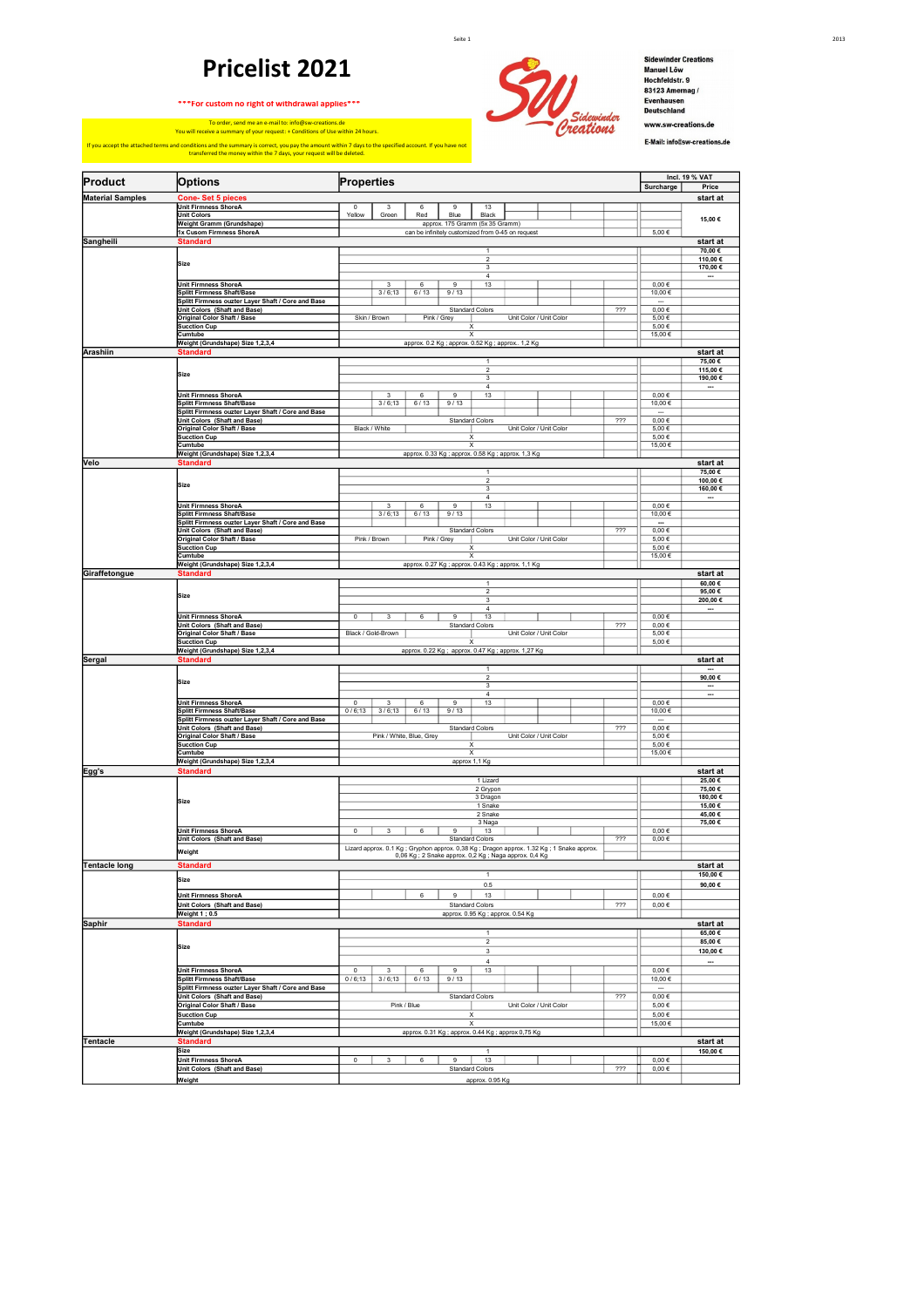## **Pricelist 2021**

**\*\*\*For custom no right of withdrawal applies\*\*\***



To order, send me an e-mail to: info@sw-creations.de You will receive a summary of your request: + Conditions of Use within 24 hours. If you accept the attached terms and conditions and the summary is correct, you pay the amount within 7 days to the specified account. If you have not transferred the money within the 7 days, your request will be deleted.



Sidewinder Creations<br>Manuel Löw<br>Hochfeldstr. 9<br>83123 Amernag /<br>Evenhausen<br>Deutschland www.sw-creations.de E-Mail: info@sw-creations.de

| Product                 | <b>Options</b>                                                                          | Surcharge                                                                                  | <b>Incl. 19 % VAT</b><br>Price |                                 |
|-------------------------|-----------------------------------------------------------------------------------------|--------------------------------------------------------------------------------------------|--------------------------------|---------------------------------|
| <b>Material Samples</b> | <b>Cone-Set 5 pieces</b>                                                                | Properties                                                                                 |                                | start at                        |
|                         | <b>Unit Firmness ShoreA</b>                                                             | $\overline{0}$<br>3<br>6<br>9<br>13                                                        |                                |                                 |
|                         | <b>Unit Colors</b>                                                                      | Yellow<br>Red<br>Blue<br>Black<br>Green                                                    |                                | 15,00€                          |
|                         | Weight Gramm (Grundshape)<br>1x Cusom Firmness ShoreA                                   | approx. 175 Gramm (5x 35 Gramm)<br>can be infinitely customized from 0-45 on request       | 5,00€                          |                                 |
| Sangheili               | <b>Standard</b>                                                                         |                                                                                            |                                | start at                        |
|                         |                                                                                         | 1                                                                                          |                                | 70,00€                          |
|                         | Size                                                                                    | $\sqrt{2}$<br>3                                                                            |                                | 110,00€<br>170,00 €             |
|                         |                                                                                         | $\overline{4}$                                                                             |                                | $\overline{\phantom{a}}$        |
|                         | Unit Firmness ShoreA                                                                    | $\overline{\mathbf{3}}$<br>6<br>$\overline{9}$<br>13                                       | $0,00 \in$                     |                                 |
|                         | <b>Splitt Firmness Shaft/Base</b><br>Splitt Firmness ouzter Layer Shaft / Core and Base | 3/6;13<br>6/13<br>9/13                                                                     | 10,00€                         |                                 |
|                         | Unit Colors (Shaft and Base)                                                            | 222<br><b>Standard Colors</b>                                                              | $0,00 \in$                     |                                 |
|                         | Original Color Shaft / Base                                                             | Skin / Brown<br>Pink / Grey<br>Unit Color / Unit Color                                     | 5,00€                          |                                 |
|                         | Sucction Cup<br>Cumtube                                                                 | x<br>X                                                                                     | 5,00€<br>15,00€                |                                 |
|                         | Weight (Grundshape) Size 1,2,3,4                                                        | approx. 0.2 Kg; approx. 0.52 Kg; approx 1,2 Kg                                             |                                |                                 |
| Arashiin                | <b>Standard</b>                                                                         |                                                                                            |                                | start at                        |
|                         |                                                                                         | $\mathbf{1}$<br>$\overline{2}$                                                             |                                | 75,00€<br>115,00€               |
|                         | Size                                                                                    | 3                                                                                          |                                | 190,00€                         |
|                         |                                                                                         | $\sqrt{4}$                                                                                 |                                |                                 |
|                         | <b>Unit Firmness ShoreA</b><br><b>Splitt Firmness Shaft/Base</b>                        | 3<br>6<br>9<br>13<br>3/6;13<br>6/13<br>9/13                                                | $0,00 \in$<br>10,00 €          |                                 |
|                         | Splitt Firmness ouzter Layer Shaft / Core and Base                                      |                                                                                            |                                |                                 |
|                         | Unit Colors (Shaft and Base)                                                            | 722<br><b>Standard Colors</b>                                                              | $0,00 \in$                     |                                 |
|                         | Original Color Shaft / Base<br><b>Sucction Cup</b>                                      | Black / White<br>Unit Color / Unit Color<br>X                                              | 5,00€<br>5,00€                 |                                 |
|                         | Cumtube                                                                                 | X                                                                                          | 15,00 €                        |                                 |
|                         | Weight (Grundshape) Size 1,2,3,4                                                        | approx. 0.33 Kg; approx. 0.58 Kg; approx. 1,3 Kg                                           |                                |                                 |
| Velo                    | <b>Standard</b>                                                                         | 1                                                                                          |                                | start at                        |
|                         |                                                                                         | $\overline{2}$                                                                             |                                | 75,00€<br>100,00€               |
|                         | Size                                                                                    | 3                                                                                          |                                | 160,00€                         |
|                         | <b>Unit Firmness ShoreA</b>                                                             | $\sqrt{4}$<br>$\overline{9}$<br>3<br>6<br>13                                               | $0,00 \in$                     | ┄                               |
|                         | Splitt Firmness Shaft/Base                                                              | 3/6;13<br>6/13<br>9/13                                                                     | 10,00€                         |                                 |
|                         | Splitt Firmness ouzter Layer Shaft / Core and Base                                      |                                                                                            | $\overline{\phantom{a}}$       |                                 |
|                         | Unit Colors (Shaft and Base)                                                            | ???<br><b>Standard Colors</b><br>Pink / Brown<br>Unit Color / Unit Color                   | $0,00 \in$                     |                                 |
|                         | Original Color Shaft / Base<br><b>Sucction Cup</b>                                      | Pink / Grey<br>x                                                                           | 5,00€<br>5.00€                 |                                 |
|                         | Cumtube                                                                                 | X                                                                                          | 15,00 €                        |                                 |
|                         | Weight (Grundshape) Size 1,2,3,4                                                        | approx. 0.27 Kg; approx. 0.43 Kg; approx. 1,1 Kg                                           |                                |                                 |
| Giraffetongue           | <b>Standard</b>                                                                         | $\mathbf{1}$                                                                               |                                | start at<br>60,00€              |
|                         |                                                                                         | $\overline{2}$                                                                             |                                | 95,00€                          |
|                         | Size                                                                                    | 3                                                                                          |                                | 200,00€                         |
|                         | <b>Unit Firmness ShoreA</b>                                                             | $\overline{4}$<br>$\mathbf 0$<br>3<br>6<br>9<br>13                                         | $0,00 \in$                     |                                 |
|                         | Unit Colors (Shaft and Base)                                                            | 222<br><b>Standard Colors</b>                                                              | $0,00 \in$                     |                                 |
|                         | Original Color Shaft / Base                                                             | Black / Gold-Brown<br>Unit Color / Unit Color                                              | 5,00€                          |                                 |
|                         | <b>Sucction Cup</b><br>Weight (Grundshape) Size 1,2,3,4                                 | x<br>approx. 0.22 Kg; approx. 0.47 Kg; approx. 1,27 Kg                                     | 5,00€                          |                                 |
| Sergal                  | <b>Standard</b>                                                                         |                                                                                            |                                | start at                        |
|                         |                                                                                         | $\mathbf{1}$                                                                               |                                |                                 |
|                         | Size                                                                                    | $\overline{2}$                                                                             |                                | 90,00 $\epsilon$                |
|                         |                                                                                         | 3<br>$\overline{4}$                                                                        |                                | $\overline{\phantom{a}}$<br>--- |
|                         | <b>Unit Firmness ShoreA</b>                                                             | 0<br>3<br>6<br>9<br>13                                                                     | $0,00 \in$                     |                                 |
|                         | <b>Splitt Firmness Shaft/Base</b><br>Splitt Firmness ouzter Layer Shaft / Core and Base | 0/6;13<br>3/6;13<br>9/13<br>6/13                                                           | 10,00€                         |                                 |
|                         | Unit Colors (Shaft and Base)                                                            | 222<br><b>Standard Colors</b>                                                              | $0,00 \in$                     |                                 |
|                         | Original Color Shaft / Base                                                             | Pink / White, Blue, Grey<br>Unit Color / Unit Color                                        | 5,00€                          |                                 |
|                         | <b>Sucction Cup</b><br>Cumtube                                                          | X<br>X                                                                                     | 5,00 €<br>15,00€               |                                 |
|                         | Weight (Grundshape) Size 1,2,3,4                                                        | approx 1,1 Kg                                                                              |                                |                                 |
| Egg's                   | <b>Standard</b>                                                                         |                                                                                            |                                | start at                        |
|                         |                                                                                         | 1 Lizard                                                                                   |                                | 25,00€                          |
|                         |                                                                                         | 2 Grypon<br>3 Dragon                                                                       |                                | 75,00€<br>180,00€               |
|                         | Size                                                                                    | 1 Snake                                                                                    |                                | 15,00€                          |
|                         |                                                                                         | 2 Snake                                                                                    |                                | 45,00€                          |
|                         | <b>Unit Firmness ShoreA</b>                                                             | 3 Naga<br>0<br>3<br>6<br>9<br>13                                                           | $0,00 \in$                     | 75,00€                          |
|                         | Unit Colors (Shaft and Base)                                                            | 722<br><b>Standard Colors</b>                                                              | $0,00 \in$                     |                                 |
|                         | Weight                                                                                  | Lizard approx. 0.1 Kg ; Gryphon approx. 0,38 Kg ; Dragon approx. 1.32 Kg ; 1 Snake approx. |                                |                                 |
| <b>Tentacle long</b>    | <b>Standard</b>                                                                         | 0,06 Kg ; 2 Snake approx. 0,2 Kg ; Naga approx. 0,4 Kg                                     |                                | start at                        |
|                         |                                                                                         | $\mathbf{1}$                                                                               |                                | 150,00€                         |
|                         | Size                                                                                    | 0.5                                                                                        |                                | 90,00€                          |
|                         | Unit Firmness ShoreA                                                                    | 6<br>13<br>$\mathbf{Q}$                                                                    | $0{,}00 \in$                   |                                 |
|                         | Unit Colors (Shaft and Base)                                                            | 222<br><b>Standard Colors</b>                                                              | $0{,}00 \in$                   |                                 |
|                         | Weight 1 ; 0.5                                                                          | approx. 0.95 Kg; approx. 0.54 Kg                                                           |                                |                                 |
| <b>Saphir</b>           | <b>Standard</b>                                                                         | $\mathbf{1}$                                                                               |                                | start at<br>65,00€              |
|                         |                                                                                         | $\overline{2}$                                                                             |                                | 85,00€                          |
|                         | Size                                                                                    | 3                                                                                          |                                | 130,00€                         |
|                         |                                                                                         | $\overline{4}$                                                                             |                                | $\overline{\phantom{a}}$        |
|                         | Unit Firmness ShoreA                                                                    | $\mathsf 0$<br>3<br>6<br>9<br>13<br>0/6;13                                                 | $0{,}00 \in$<br>10,00€         |                                 |
|                         | Splitt Firmness Shaft/Base<br>Splitt Firmness ouzter Layer Shaft / Core and Base        | 3/6;13<br>6/13<br>9/13                                                                     | $\overline{\phantom{a}}$       |                                 |
|                         | Unit Colors (Shaft and Base)                                                            | 222<br><b>Standard Colors</b>                                                              | $0,00 \in$                     |                                 |
|                         | Original Color Shaft / Base                                                             | Pink / Blue<br>Unit Color / Unit Color                                                     | 5,00€                          |                                 |
|                         | <b>Sucction Cup</b><br>Cumtube                                                          | X<br>$\overline{\mathbf{x}}$                                                               | 5,00 €<br>15,00€               |                                 |
|                         | Weight (Grundshape) Size 1,2,3,4                                                        | approx. 0.31 Kg; approx. 0.44 Kg; approx 0,75 Kg                                           |                                |                                 |
| <b>Tentacle</b>         | <b>Standard</b>                                                                         |                                                                                            |                                | start at                        |
|                         | <b>Size</b>                                                                             | $\mathbf{1}$                                                                               |                                | 150,00€                         |
|                         | <b>Unit Firmness ShoreA</b><br>Unit Colors (Shaft and Base)                             | $\pmb{0}$<br>$\mathsf 3$<br>6<br>9<br>13<br>722<br><b>Standard Colors</b>                  | $0{,}00 \in$<br>$0,00 \in$     |                                 |
|                         | Weight                                                                                  | approx. 0.95 Kg                                                                            |                                |                                 |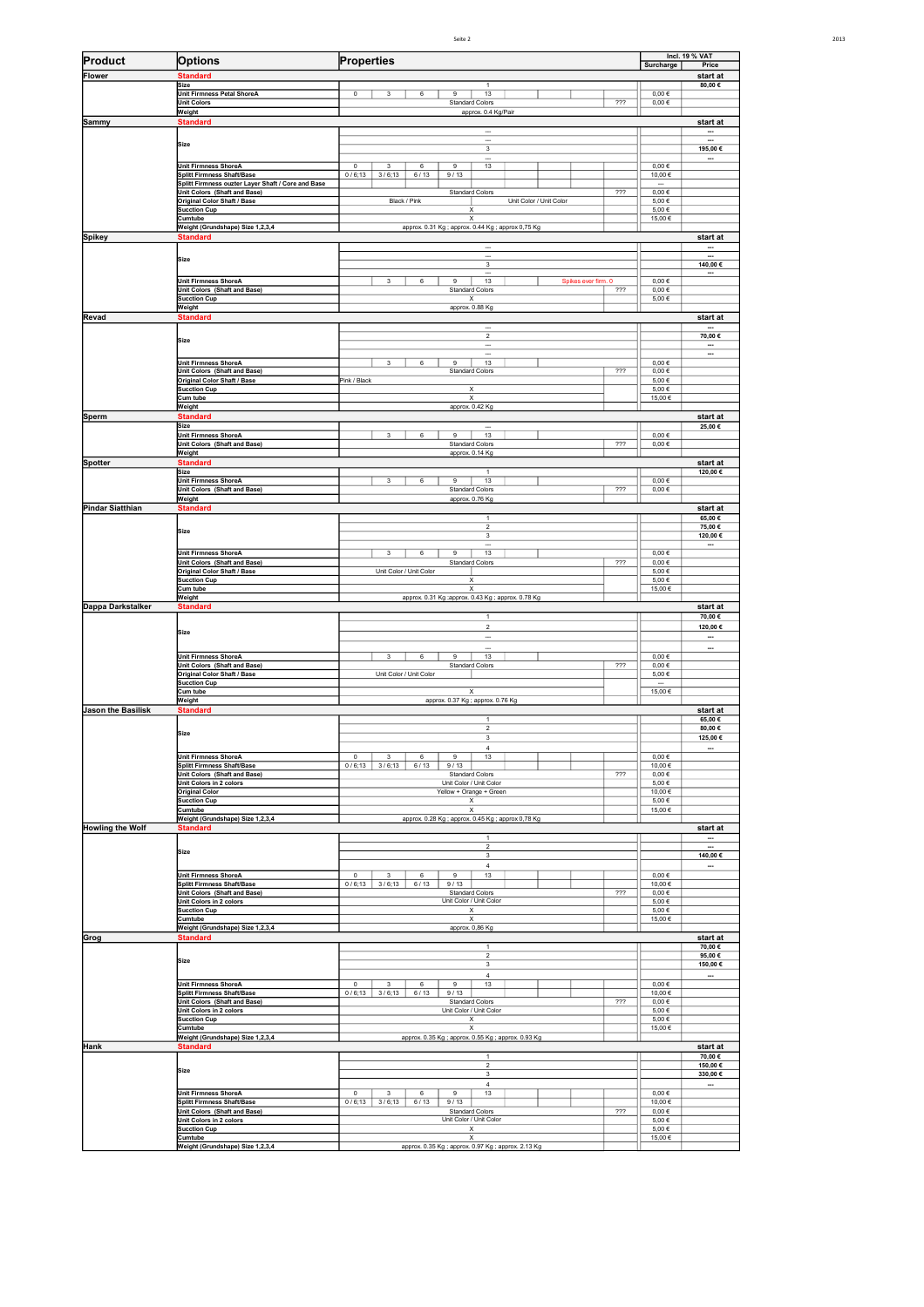| Seite 2 | 2013 |
|---------|------|

| Product                   | <b>Options</b>                                              | <b>Incl. 19 % VAT</b><br>Surcharge<br>Price                                          |                          |                                      |  |  |  |  |  |  |
|---------------------------|-------------------------------------------------------------|--------------------------------------------------------------------------------------|--------------------------|--------------------------------------|--|--|--|--|--|--|
| Flower                    | <b>Standard</b>                                             | Properties                                                                           |                          |                                      |  |  |  |  |  |  |
|                           | Size                                                        | $\mathbf{1}$                                                                         |                          | start at<br>80,00€                   |  |  |  |  |  |  |
|                           | <b>Unit Firmness Petal ShoreA</b><br><b>Unit Colors</b>     | 13<br>0<br>6<br>$\mathbf{Q}$<br>3<br><b>Standard Colors</b><br>222                   | $0,00 \in$<br>$0,00 \in$ |                                      |  |  |  |  |  |  |
|                           | Weight                                                      | approx. 0.4 Kg/Pair                                                                  |                          |                                      |  |  |  |  |  |  |
| Sammy                     | <b>Standard</b>                                             | $\overline{\phantom{a}}$                                                             |                          | start at<br>$\overline{\phantom{a}}$ |  |  |  |  |  |  |
|                           | Size                                                        | ---                                                                                  |                          |                                      |  |  |  |  |  |  |
|                           |                                                             | 3                                                                                    |                          | 195,00€                              |  |  |  |  |  |  |
|                           | <b>Unit Firmness ShoreA</b><br>Splitt Firmness Shaft/Base   | 13<br>$\overline{0}$<br>6<br>$\overline{9}$<br>3<br>0/6;13<br>3/6;13<br>6/13<br>9/13 | $0,00 \in$<br>10,00€     |                                      |  |  |  |  |  |  |
|                           | Splitt Firmness ouzter Layer Shaft / Core and Base          |                                                                                      | $\overline{\phantom{a}}$ |                                      |  |  |  |  |  |  |
|                           | Unit Colors (Shaft and Base)<br>Original Color Shaft / Base | 722<br><b>Standard Colors</b><br>Black / Pink<br>Unit Color / Unit Color             | $0,00 \in$<br>5,00€      |                                      |  |  |  |  |  |  |
|                           | <b>Sucction Cup</b>                                         | х                                                                                    | 5,00€                    |                                      |  |  |  |  |  |  |
|                           | Cumtube<br>Weight (Grundshape) Size 1,2,3,4                 | X<br>approx. 0.31 Kg ; approx. 0.44 Kg ; approx 0,75 Kg                              | 15,00 €                  |                                      |  |  |  |  |  |  |
| Spikey                    | <b>Standard</b>                                             |                                                                                      |                          | start at                             |  |  |  |  |  |  |
|                           | Size                                                        |                                                                                      |                          |                                      |  |  |  |  |  |  |
|                           |                                                             | 3                                                                                    |                          | 140,00 €                             |  |  |  |  |  |  |
|                           | Unit Firmness ShoreA                                        | 6<br>9<br>13<br>3<br>Spikes ever firm. 0                                             | $0,00 \in$               |                                      |  |  |  |  |  |  |
|                           | Unit Colors (Shaft and Base)<br><b>Sucction Cup</b>         | <b>Standard Colors</b><br>222<br>X                                                   | $0,00 \in$<br>$5,00 \in$ |                                      |  |  |  |  |  |  |
|                           | Weight                                                      | approx. 0.88 Kg                                                                      |                          |                                      |  |  |  |  |  |  |
| Revad                     | <b>Standard</b>                                             | $\overline{\phantom{a}}$                                                             |                          | start at<br>$\overline{\phantom{a}}$ |  |  |  |  |  |  |
|                           | Size                                                        | $\overline{2}$                                                                       |                          | 70,00€                               |  |  |  |  |  |  |
|                           |                                                             |                                                                                      |                          | —                                    |  |  |  |  |  |  |
|                           | <b>Unit Firmness ShoreA</b>                                 | 13<br>6<br>9<br>3<br>722                                                             | $0,00 \in$               |                                      |  |  |  |  |  |  |
|                           | Unit Colors (Shaft and Base)<br>Original Color Shaft / Base | <b>Standard Colors</b><br>Pink / Black                                               | $0{,}00 \in$<br>5,00€    |                                      |  |  |  |  |  |  |
|                           | Sucction Cup<br>Cum tube                                    | Χ<br>X                                                                               | 5,00 €<br>15,00€         |                                      |  |  |  |  |  |  |
|                           | Weight                                                      | approx. 0.42 Kg                                                                      |                          |                                      |  |  |  |  |  |  |
| Sperm                     | <b>Standard</b><br>Size                                     |                                                                                      |                          | start at<br>25,00€                   |  |  |  |  |  |  |
|                           | Unit Firmness ShoreA                                        | 3<br>6<br>9<br>13                                                                    | $0,00 \in$               |                                      |  |  |  |  |  |  |
|                           | Unit Colors (Shaft and Base)<br>Weight                      | 222<br><b>Standard Colors</b><br>approx. 0.14 Kg                                     | $0{,}00 \in$             |                                      |  |  |  |  |  |  |
| Spotter                   | <b>Standard</b>                                             |                                                                                      |                          | start at                             |  |  |  |  |  |  |
|                           | Size<br><b>Unit Firmness ShoreA</b>                         | $\mathbf{1}$<br>3<br>6<br>9<br>13                                                    | $0,00 \in$               | 120,00€                              |  |  |  |  |  |  |
|                           | Unit Colors (Shaft and Base)                                | 722<br><b>Standard Colors</b>                                                        | $0,00 \in$               |                                      |  |  |  |  |  |  |
| <b>Pindar Siatthian</b>   | Weight<br><b>Standard</b>                                   | approx. 0.76 Kg                                                                      |                          | start at                             |  |  |  |  |  |  |
|                           |                                                             | 1                                                                                    |                          | 65,00€                               |  |  |  |  |  |  |
|                           | Size                                                        | $\overline{c}$<br>3                                                                  |                          | 75,00€<br>120,00€                    |  |  |  |  |  |  |
|                           |                                                             |                                                                                      |                          |                                      |  |  |  |  |  |  |
|                           | <b>Unit Firmness ShoreA</b><br>Unit Colors (Shaft and Base) | 13<br>6<br>9<br>3<br>222<br><b>Standard Colors</b>                                   | $0,00 \in$<br>$0,00 \in$ |                                      |  |  |  |  |  |  |
|                           | Original Color Shaft / Base                                 | Unit Color / Unit Color                                                              | 5,00€                    |                                      |  |  |  |  |  |  |
|                           | <b>Sucction Cup</b><br>Cum tube                             | X<br>X                                                                               | 5,00€<br>15,00 €         |                                      |  |  |  |  |  |  |
| Dappa Darkstalker         | Weight<br><b>Standard</b>                                   | approx. 0.31 Kg ; approx. 0.43 Kg ; approx. 0.78 Kg                                  |                          | start at                             |  |  |  |  |  |  |
|                           |                                                             | $\mathbf{1}$                                                                         |                          | 70,00€                               |  |  |  |  |  |  |
|                           | Size                                                        | $\overline{2}$<br><u></u>                                                            |                          | 120,00 €<br>                         |  |  |  |  |  |  |
|                           |                                                             | <u></u>                                                                              |                          | Ξ.                                   |  |  |  |  |  |  |
|                           | <b>Unit Firmness ShoreA</b><br>Unit Colors (Shaft and Base) | 13<br>3<br>6<br>9<br><b>Standard Colors</b><br>222                                   | $0,00 \in$<br>$0,00 \in$ |                                      |  |  |  |  |  |  |
|                           | Original Color Shaft / Base                                 | Unit Color / Unit Color                                                              | 5,00€                    |                                      |  |  |  |  |  |  |
|                           | <b>Sucction Cup</b><br>Cum tube                             | $\overline{\mathsf{x}}$                                                              | ---<br>15,00€            |                                      |  |  |  |  |  |  |
|                           | Weight                                                      | approx. 0.37 Kg; approx. 0.76 Kg                                                     |                          |                                      |  |  |  |  |  |  |
| <b>Jason the Basilisk</b> | <b>Standard</b>                                             | $\mathbf{1}$                                                                         |                          | start at<br>65,00€                   |  |  |  |  |  |  |
|                           | Size                                                        | $\overline{\mathbf{c}}$                                                              |                          | 80,00€                               |  |  |  |  |  |  |
|                           |                                                             | 3<br>$\overline{4}$                                                                  |                          | 125,00€                              |  |  |  |  |  |  |
|                           | <b>Unit Firmness ShoreA</b>                                 | 6<br>9<br>13<br>$\mathbf 0$<br>3                                                     | $0,00 \in$               |                                      |  |  |  |  |  |  |
|                           | Splitt Firmness Shaft/Base<br>Unit Colors (Shaft and Base)  | 3/6;13<br>6/13<br>9/13<br>0/6;13<br>222<br><b>Standard Colors</b>                    | 10,00€<br>$0,00 \in$     |                                      |  |  |  |  |  |  |
|                           | Unit Colors in 2 colors<br><b>Original Color</b>            | Unit Color / Unit Color<br>Yellow + Orange + Green                                   | 5,00€<br>10,00€          |                                      |  |  |  |  |  |  |
|                           | <b>Sucction Cup</b>                                         | Х                                                                                    | 5,00€                    |                                      |  |  |  |  |  |  |
|                           | Cumtube<br>Weight (Grundshape) Size 1,2,3,4                 | Х<br>approx. 0.28 Kg; approx. 0.45 Kg; approx 0,78 Kg                                | 15,00€                   |                                      |  |  |  |  |  |  |
| <b>Howling the Wolf</b>   | <b>Standard</b>                                             |                                                                                      |                          | start at                             |  |  |  |  |  |  |
|                           |                                                             | $\mathbf{1}$<br>$\overline{2}$                                                       |                          | <br>--                               |  |  |  |  |  |  |
|                           | Size                                                        | 3                                                                                    |                          | 140,00 €                             |  |  |  |  |  |  |
|                           | <b>Unit Firmness ShoreA</b>                                 | 4<br>3<br>$\boldsymbol{9}$<br>$13\,$<br>0<br>6                                       | $0{,}00 \in$             |                                      |  |  |  |  |  |  |
|                           | Splitt Firmness Shaft/Base                                  | 0/6;13<br>3/6;13<br>6/13<br>9/13<br>722                                              | 10,00€                   |                                      |  |  |  |  |  |  |
|                           | Unit Colors (Shaft and Base)<br>Unit Colors in 2 colors     | <b>Standard Colors</b><br>Unit Color / Unit Color                                    | $0{,}00 \in$<br>5,00€    |                                      |  |  |  |  |  |  |
|                           | Sucction Cup<br>Cumtube                                     | х<br>х                                                                               | 5,00 €<br>15,00 €        |                                      |  |  |  |  |  |  |
|                           | Weight (Grundshape) Size 1,2,3,4                            | approx. 0,86 Kg                                                                      |                          |                                      |  |  |  |  |  |  |
| Grog                      | <b>Standard</b>                                             | $\mathbf{1}$                                                                         |                          | start at<br>70,00€                   |  |  |  |  |  |  |
|                           | Size                                                        | $\overline{2}$                                                                       |                          | 95,00€                               |  |  |  |  |  |  |
|                           |                                                             | $\overline{\mathbf{3}}$<br>$\overline{4}$                                            |                          | 150,00 €<br>--                       |  |  |  |  |  |  |
|                           | Unit Firmness ShoreA                                        | 13<br>0<br>3<br>6<br>9                                                               | $0{,}00 \in$             |                                      |  |  |  |  |  |  |
|                           | Splitt Firmness Shaft/Base<br>Unit Colors (Shaft and Base)  | 0/6;13<br>3/6;13<br>6/13<br>9/13<br>722<br><b>Standard Colors</b>                    | 10,00 €<br>$0{,}00 \in$  |                                      |  |  |  |  |  |  |
|                           | Unit Colors in 2 colors                                     | Unit Color / Unit Color                                                              | $5,00 \in$               |                                      |  |  |  |  |  |  |
|                           | <b>Sucction Cup</b><br>Cumtube                              | Χ<br>X                                                                               | 5,00€<br>15,00 €         |                                      |  |  |  |  |  |  |
| Hank                      | Weight (Grundshape) Size 1,2,3,4<br><b>Standard</b>         | approx. 0.35 Kg ; approx. 0.55 Kg ; approx. 0.93 Kg                                  |                          | start at                             |  |  |  |  |  |  |
|                           |                                                             | $\mathbf{1}$                                                                         |                          | 70,00€                               |  |  |  |  |  |  |
|                           | Size                                                        | $\overline{2}$<br>$\sqrt{3}$                                                         |                          | 150,00€<br>330,00€                   |  |  |  |  |  |  |
|                           |                                                             | $\overline{\mathbf{4}}$                                                              |                          |                                      |  |  |  |  |  |  |
|                           | Unit Firmness ShoreA<br>Splitt Firmness Shaft/Base          | 13<br>0<br>3<br>6<br>9<br>0/6;13<br>3/6;13<br>6/13<br>9/13                           | $0{,}00 \in$<br>10,00€   |                                      |  |  |  |  |  |  |
|                           | Unit Colors (Shaft and Base)                                | 222<br><b>Standard Colors</b>                                                        | $0{,}00 \in$             |                                      |  |  |  |  |  |  |
|                           | Unit Colors in 2 colors<br><b>Sucction Cup</b>              | Unit Color / Unit Color<br>X                                                         | 5,00€<br>5,00€           |                                      |  |  |  |  |  |  |
|                           | Cumtube                                                     | Х                                                                                    | 15,00 €                  |                                      |  |  |  |  |  |  |
|                           | Weight (Grundshape) Size 1,2,3,4                            | approx. 0.35 Kg; approx. 0.97 Kg; approx. 2.13 Kg                                    |                          |                                      |  |  |  |  |  |  |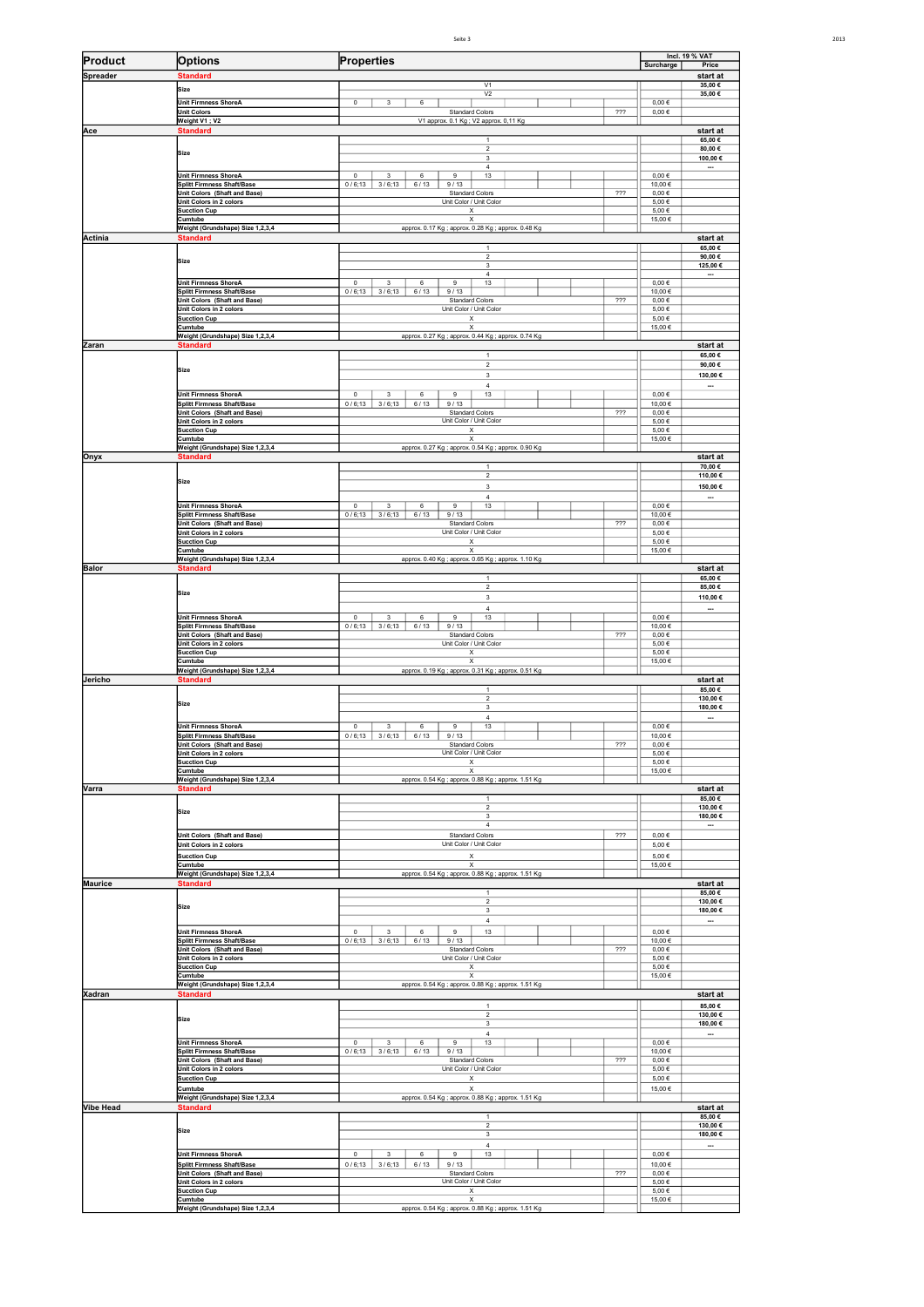Seite

|                  |                                                                    |                                                                       |     |                            | Incl. 19 % VAT                      |
|------------------|--------------------------------------------------------------------|-----------------------------------------------------------------------|-----|----------------------------|-------------------------------------|
| Product          | <b>Options</b>                                                     | Properties                                                            |     | Surcharge                  | Price                               |
| Spreader         | <b>Standard</b><br>Size                                            | V1                                                                    |     |                            | start at<br>35,00€                  |
|                  | <b>Unit Firmness ShoreA</b>                                        | V <sub>2</sub><br>$\mathbf 0$<br>3<br>6                               |     | $0,00 \in$                 | 35,00€                              |
|                  | <b>Unit Colors</b><br>Weight V1; V2                                | <b>Standard Colors</b><br>V1 approx. 0.1 Kg; V2 approx. 0,11 Kg       | 722 | $0,00 \in$                 |                                     |
| Ace              | <b>Standard</b>                                                    |                                                                       |     |                            | start at                            |
|                  |                                                                    | $\mathbf{1}$<br>$\overline{2}$                                        |     |                            | 65,00€<br>80,00€                    |
|                  | Size                                                               | $\overline{\mathbf{3}}$<br>4                                          |     |                            | 100,00€                             |
|                  | Unit Firmness ShoreA                                               | $\mathbb O$<br>$_{3}$<br>$\,6\,$<br>$\boldsymbol{9}$<br>13            |     | $0,00 \in$                 | $\overline{\phantom{a}}$            |
|                  | <b>Splitt Firmness Shaft/Base</b><br>Unit Colors (Shaft and Base)  | 0/6;13<br>3/6;13<br>6/13<br>9/13<br><b>Standard Colors</b>            | 222 | 10,00€<br>$0{,}00 \in$     |                                     |
|                  | Unit Colors in 2 colors<br>Sucction Cup                            | Unit Color / Unit Color<br>х                                          |     | 5,00€<br>5,00€             |                                     |
|                  | Cumtube                                                            | Х                                                                     |     | 15,00€                     |                                     |
| Actinia          | Weight (Grundshape) Size 1,2,3,4<br><b>Standard</b>                | approx. 0.17 Kg; approx. 0.28 Kg; approx. 0.48 Kg                     |     |                            | start at                            |
|                  |                                                                    |                                                                       |     |                            | 65,00€                              |
|                  | <b>Size</b>                                                        | $\overline{2}$<br>3                                                   |     |                            | 90,00€<br>125,00 €                  |
|                  | Unit Firmness ShoreA                                               | $\overline{4}$<br>$\mathsf 0$<br>$\mathsf 3$<br>6<br>9<br>13          |     | $0,00 \in$                 | $\overline{\phantom{a}}$            |
|                  | <b>Splitt Firmness Shaft/Base</b><br>Unit Colors (Shaft and Base)  | 0/6;13<br>3/6;13<br>6/13<br>9/13<br><b>Standard Colors</b>            | 722 | 10,00 €<br>$0,00 \in$      |                                     |
|                  | Unit Colors in 2 colors                                            | Unit Color / Unit Color                                               |     | $5{,}00 \in$               |                                     |
|                  | Sucction Cup<br>Cumtube                                            | X<br>X                                                                |     | 5,00€<br>15,00€            |                                     |
| Zaran            | Weight (Grundshape) Size 1,2,3,4<br><b>Standard</b>                | approx. 0.27 Kg ; approx. 0.44 Kg ; approx. 0.74 Kg                   |     |                            | start at                            |
|                  |                                                                    | $\overline{1}$                                                        |     |                            | 65,00€                              |
|                  | <b>Size</b>                                                        | $\sqrt{2}$<br>3                                                       |     |                            | 90,00€<br>130,00€                   |
|                  |                                                                    | $\overline{4}$                                                        |     |                            | $\overline{\phantom{a}}$            |
|                  | <b>Unit Firmness ShoreA</b><br><b>Splitt Firmness Shaft/Base</b>   | $\mathsf 0$<br>3<br>6<br>9<br>13<br>0/6;13<br>3/6;13<br>6/13<br>9/13  |     | $0,00 \in$<br>10,00€       |                                     |
|                  | Unit Colors (Shaft and Base)<br>Unit Colors in 2 colors            | <b>Standard Colors</b><br>Unit Color / Unit Color                     | 722 | $0,00 \in$<br>$5{,}00 \in$ |                                     |
|                  | Sucction Cup                                                       | X                                                                     |     | 5,00€                      |                                     |
|                  | Cumtube<br>Weight (Grundshape) Size 1,2,3,4                        | X<br>approx. 0.27 Kg; approx. 0.54 Kg; approx. 0.90 Kg                |     | 15,00€                     |                                     |
| Onyx             | <b>Standard</b>                                                    |                                                                       |     |                            | start at<br>70,00€                  |
|                  | <b>Size</b>                                                        | $\sqrt{2}$                                                            |     |                            | 110,00€                             |
|                  |                                                                    | $\mathbf 3$<br>$\overline{4}$                                         |     |                            | 150,00€<br>$\overline{\phantom{a}}$ |
|                  | <b>Unit Firmness ShoreA</b>                                        | $\mathsf 0$<br>$\mathsf 3$<br>$\,6\,$<br>$\boldsymbol{9}$<br>13       |     | $0,00 \in$                 |                                     |
|                  | Splitt Firmness Shaft/Base<br>Unit Colors (Shaft and Base)         | 0/6;13<br>3/6;13<br>6/13<br>9/13<br><b>Standard Colors</b>            | 222 | 10,00 €<br>$0,00 \in$      |                                     |
|                  | Unit Colors in 2 colors<br><b>Sucction Cup</b>                     | Unit Color / Unit Color<br>X                                          |     | 5,00€<br>5,00€             |                                     |
|                  | Cumtube                                                            | X                                                                     |     | 15,00€                     |                                     |
| <b>Balor</b>     | Weight (Grundshape) Size 1,2,3,4<br><b>Standard</b>                | approx. 0.40 Kg; approx. 0.65 Kg; approx. 1.10 Kg                     |     |                            | start at                            |
|                  |                                                                    |                                                                       |     |                            | 65,00€                              |
|                  | <b>Size</b>                                                        | $\overline{c}$<br>$\mathbf 3$                                         |     |                            | 85,00€<br>110,00€                   |
|                  | <b>Unit Firmness ShoreA</b>                                        | $\sqrt{4}$<br>$\,0\,$<br>3<br>6<br>9                                  |     | $0{,}00 \in$               | $\overline{\phantom{a}}$            |
|                  | Splitt Firmness Shaft/Base                                         | 13<br>$0/6;13$ 3/6;13<br>9/13<br>6/13                                 |     | 10,00 €                    |                                     |
|                  | Unit Colors (Shaft and Base)<br>Unit Colors in 2 colors            | <b>Standard Colors</b><br>Unit Color / Unit Color                     | 222 | $0,00 \in$<br>5,00€        |                                     |
|                  | <b>Sucction Cup</b><br>Cumtube                                     | х<br>Х                                                                |     | 5,00€<br>15,00 €           |                                     |
|                  | Weight (Grundshape) Size 1,2,3,4                                   | approx. 0.19 Kg ; approx. 0.31 Kg ; approx. 0.51 Kg                   |     |                            |                                     |
| Jericho          | <b>Standard</b>                                                    | $\mathbf{1}$                                                          |     |                            | start at<br>85,00€                  |
|                  | <b>Size</b>                                                        | $\sqrt{2}$<br>3                                                       |     |                            | 130,00€<br>180,00€                  |
|                  |                                                                    | $\sqrt{4}$                                                            |     |                            | $\overline{\phantom{a}}$            |
|                  | <b>Unit Firmness ShoreA</b><br>iplitt Firmness Shaft/Base          | $\,0\,$<br>3<br>6<br>9<br>13<br>$0/6;13$   $3/6;13$   $6/13$   $9/13$ |     | $0,00 \in$<br>10,00 €      |                                     |
|                  | Unit Colors (Shaft and Base)                                       | Standard Colors<br>Unit Color / Unit Color                            | 722 | $0,00 \in$                 |                                     |
|                  | Unit Colors in 2 colors<br><b>Sucction Cup</b>                     | $\boldsymbol{\mathsf{x}}$                                             |     | 5,00€<br>5,00€             |                                     |
|                  | Cumtube<br>Weight (Grundshape) Size 1,2,3,4                        | Х<br>approx. 0.54 Kg; approx. 0.88 Kg; approx. 1.51 Kg                |     | 15,00 €                    |                                     |
| Varra            | <b>Standard</b>                                                    |                                                                       |     |                            | start at                            |
|                  | Size                                                               | $\overline{1}$<br>$\overline{2}$                                      |     |                            | 85,00€<br>130,00€                   |
|                  |                                                                    | 3<br>$\overline{4}$                                                   |     |                            | 180,00€<br>--                       |
|                  | Unit Colors (Shaft and Base)                                       | <b>Standard Colors</b>                                                | 777 | $0,00 \in$                 |                                     |
|                  | Unit Colors in 2 colors<br>Sucction Cup                            | Unit Color / Unit Color<br>$\boldsymbol{\mathsf{X}}$                  |     | 5,00 €<br>5,00€            |                                     |
|                  | Cumtube                                                            | X                                                                     |     | 15,00€                     |                                     |
| <b>Maurice</b>   | Weight (Grundshape) Size 1,2,3,4<br><b>Standard</b>                | approx. 0.54 Kg; approx. 0.88 Kg; approx. 1.51 Kg                     |     |                            | start at                            |
|                  |                                                                    | $\mathbf{1}$<br>$\boldsymbol{2}$                                      |     |                            | 85,00€<br>130,00€                   |
|                  | Size                                                               | 3                                                                     |     |                            | 180,00€                             |
|                  | Unit Firmness ShoreA                                               | $\overline{4}$<br>13<br>$\,0\,$<br>3<br>6<br>9                        |     | $0,00 \in$                 | $\overline{\phantom{a}}$            |
|                  | Splitt Firmness Shaft/Base                                         | $0/6;13$ 3/6;13<br>9/13<br>6/13                                       |     | 10,00 €                    |                                     |
|                  | Unit Colors (Shaft and Base)<br>Unit Colors in 2 colors            | <b>Standard Colors</b><br>Unit Color / Unit Color                     | 722 | $0,00 \in$<br>5,00€        |                                     |
|                  | <b>Sucction Cup</b><br>Cumtube                                     | Х<br>Х                                                                |     | 5,00€<br>15,00€            |                                     |
|                  | Weight (Grundshape) Size 1,2,3,4                                   | approx. 0.54 Kg ; approx. 0.88 Kg ; approx. 1.51 Kg                   |     |                            |                                     |
| Xadran           | <b>Standard</b>                                                    | $\mathbf{1}$                                                          |     |                            | start at<br>85,00€                  |
|                  | Size                                                               | $\overline{2}$<br>$_{\rm 3}$                                          |     |                            | 130,00€<br>180,00€                  |
|                  |                                                                    | $\overline{4}$                                                        |     |                            | $\overline{\phantom{a}}$            |
|                  | <b>Unit Firmness ShoreA</b><br>Splitt Firmness Shaft/Base          | 13<br>$^{\circ}$<br>6<br>3<br>9<br>$0/6;13$ 3/6;13<br>9/13<br>6/13    |     | $0,00 \in$<br>10,00 €      |                                     |
|                  | Unit Colors (Shaft and Base)                                       | <b>Standard Colors</b>                                                | 222 | $0,00 \in$                 |                                     |
|                  | Unit Colors in 2 colors<br><b>Sucction Cup</b>                     | Unit Color / Unit Color<br>$\boldsymbol{\mathsf{x}}$                  |     | 5,00€<br>5,00€             |                                     |
|                  | Cumtube<br>Weight (Grundshape) Size 1,2,3,4                        | $\boldsymbol{\mathsf{X}}$                                             |     | 15,00€                     |                                     |
| <b>Vibe Head</b> | <b>Standard</b>                                                    | approx. 0.54 Kg ; approx. 0.88 Kg ; approx. 1.51 Kg                   |     |                            | start at                            |
|                  |                                                                    | $\mathbf{1}$<br>$\sqrt{2}$                                            |     |                            | 85,00€<br>130,00€                   |
|                  | Size                                                               | $\mathbf 3$                                                           |     |                            | 180,00€                             |
|                  | <b>Unit Firmness ShoreA</b>                                        | $\overline{4}$<br>$\mathsf 0$<br>3<br>6<br>$\mathsf g$<br>13          |     | $0,00 \in$                 | $\overline{\phantom{a}}$            |
|                  | Splitt Firmness Shaft/Base<br>Unit Colors (Shaft and Base)         | $0/6;13$ 3/6;13<br>6/13<br>9/13                                       | 722 | 10,00€<br>$0,00 \in$       |                                     |
|                  |                                                                    | <b>Standard Colors</b><br>Unit Color / Unit Color                     |     | 5,00€                      |                                     |
|                  | Unit Colors in 2 colors                                            |                                                                       |     |                            |                                     |
|                  | <b>Sucction Cup</b><br>Cumtube<br>Weight (Grundshape) Size 1,2,3,4 | Х<br>Х<br>approx. 0.54 Kg ; approx. 0.88 Kg ; approx. 1.51 Kg         |     | 5,00€<br>15,00 €           |                                     |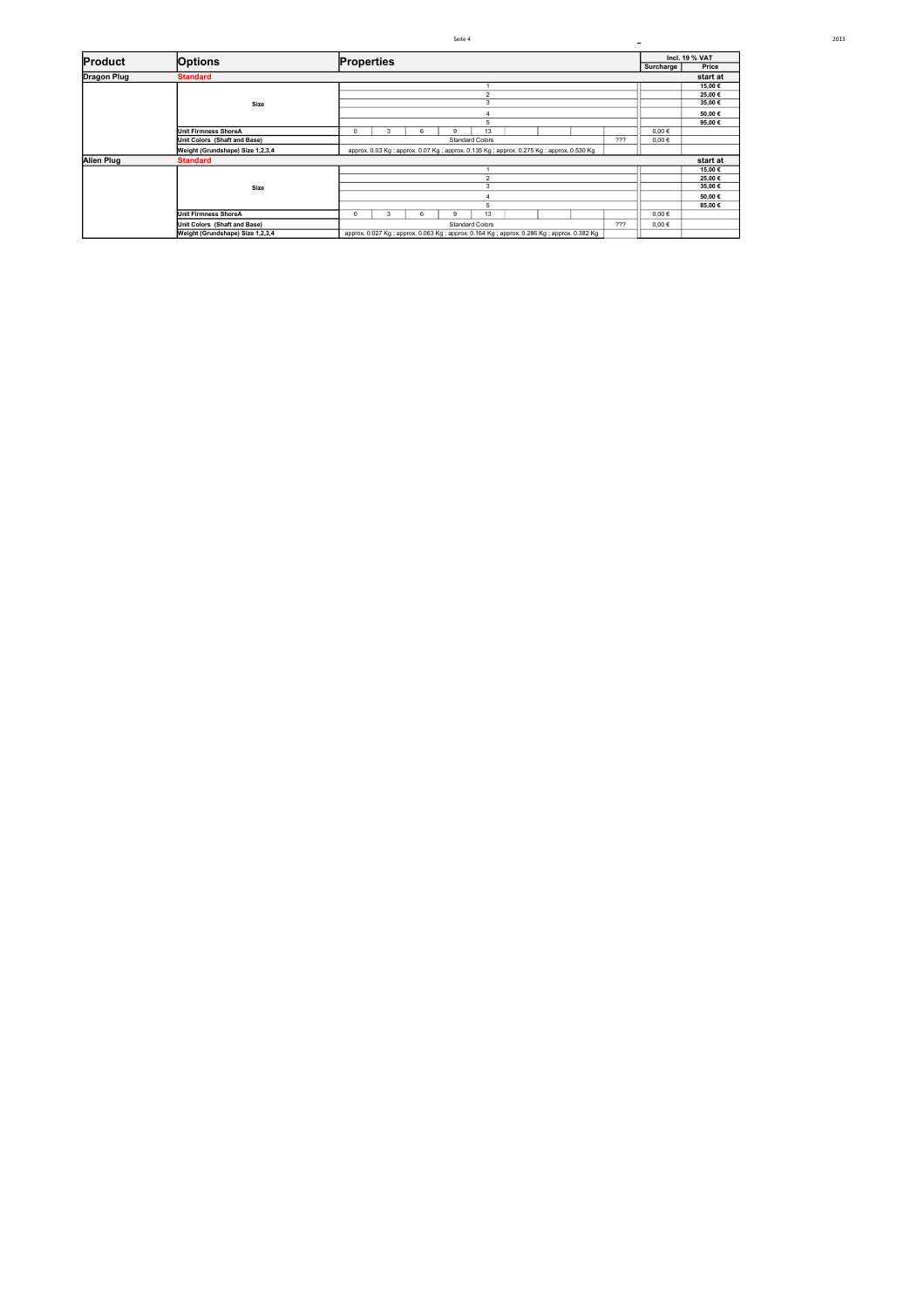|                    |                                  |  |                                                                                          |   |   | Seite 4                                                                                |                        |            |        |        |        | $\blacksquare$ |          |
|--------------------|----------------------------------|--|------------------------------------------------------------------------------------------|---|---|----------------------------------------------------------------------------------------|------------------------|------------|--------|--------|--------|----------------|----------|
| <b>Product</b>     | Options                          |  | Incl. 19 % VAT<br><b>Properties</b>                                                      |   |   |                                                                                        |                        |            |        |        |        |                |          |
|                    |                                  |  |                                                                                          |   |   |                                                                                        |                        |            |        |        |        | Surcharge      | Price    |
| <b>Dragon Plug</b> | <b>Standard</b>                  |  |                                                                                          |   |   |                                                                                        |                        |            |        |        |        |                | start at |
|                    |                                  |  |                                                                                          |   |   |                                                                                        |                        |            |        |        |        |                | 15,00€   |
|                    |                                  |  |                                                                                          |   |   |                                                                                        | $\mathfrak{p}$         |            |        |        |        |                | 25,00€   |
|                    | Size                             |  |                                                                                          |   |   |                                                                                        | 3                      |            |        |        |        |                | 35.00€   |
|                    |                                  |  |                                                                                          |   |   |                                                                                        |                        |            |        |        |        |                | 50,00€   |
|                    |                                  |  |                                                                                          |   |   |                                                                                        |                        |            |        |        |        |                | 95,00€   |
|                    | Unit Firmness ShoreA             |  | n.                                                                                       | 3 | 6 | ۵                                                                                      | 13                     |            |        |        |        | $0,00 \in$     |          |
|                    | Unit Colors (Shaft and Base)     |  |                                                                                          |   |   |                                                                                        | <b>Standard Colors</b> |            |        |        | 222    | $0,00 \in$     |          |
|                    | Weight (Grundshape) Size 1,2,3,4 |  |                                                                                          |   |   | approx. 0.03 Kg; approx. 0.07 Kg; approx. 0.135 Kg; approx. 0.275 Kg; approx. 0.530 Kg |                        |            |        |        |        |                |          |
| Alien Plug         | <b>Standard</b>                  |  |                                                                                          |   |   |                                                                                        |                        |            |        |        |        |                | start at |
|                    |                                  |  |                                                                                          |   |   |                                                                                        |                        |            |        | 15,00€ |        |                |          |
|                    |                                  |  | n                                                                                        |   |   |                                                                                        |                        |            |        |        | 25,00€ |                |          |
|                    | Size                             |  |                                                                                          |   |   |                                                                                        |                        |            |        | 35,00€ |        |                |          |
|                    |                                  |  |                                                                                          |   |   |                                                                                        |                        |            | 50,00€ |        |        |                |          |
|                    |                                  |  |                                                                                          |   |   |                                                                                        |                        |            |        | 85,00€ |        |                |          |
|                    | Unit Firmness ShoreA             |  | 13<br>U                                                                                  |   |   |                                                                                        |                        | $0.00 \in$ |        |        |        |                |          |
|                    | Unit Colors (Shaft and Base)     |  | 222<br><b>Standard Colors</b>                                                            |   |   |                                                                                        |                        | $0,00 \in$ |        |        |        |                |          |
|                    | Weight (Grundshape) Size 1,2,3,4 |  | approx. 0.027 Kg; approx. 0.063 Kg; approx. 0.164 Kg; approx. 0.286 Kg; approx. 0.382 Kg |   |   |                                                                                        |                        |            |        |        |        |                |          |